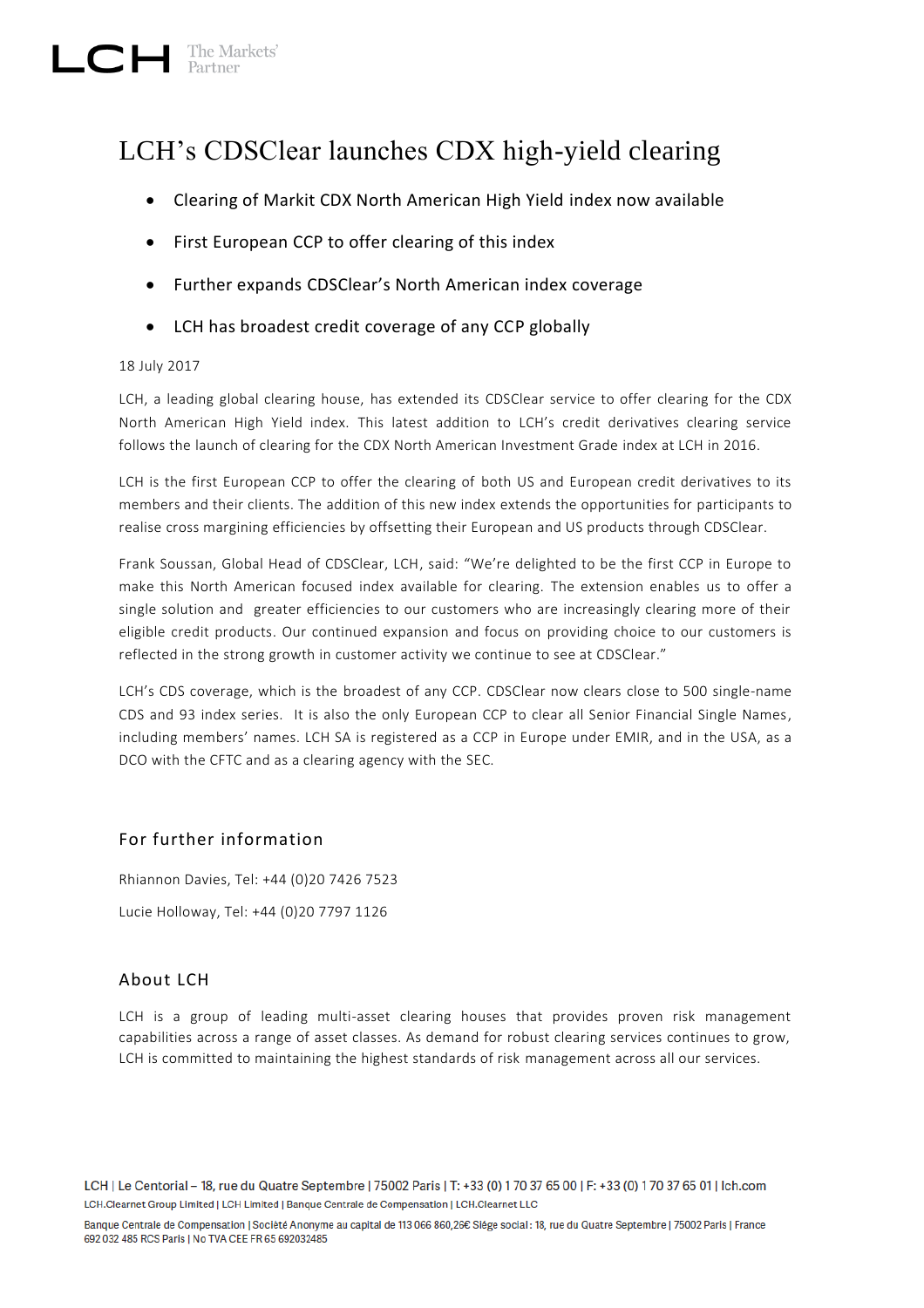# $\Box$  The Markets'

# LCH's CDSClear launches CDX high-yield clearing

- Clearing of Markit CDX North American High Yield index now available
- First European CCP to offer clearing of this index
- Further expands CDSClear's North American index coverage
- LCH has broadest credit coverage of any CCP globally

#### 18 July 2017

LCH, a leading global clearing house, has extended its CDSClear service to offer clearing for the CDX North American High Yield index. This latest addition to LCH's credit derivatives clearing service follows the launch of clearing for the CDX North American Investment Grade index at LCH in 2016.

LCH is the first European CCP to offer the clearing of both US and European credit derivatives to its members and their clients. The addition of this new index extends the opportunities for participants to realise cross margining efficiencies by offsetting their European and US products through CDSClear.

Frank Soussan, Global Head of CDSClear, LCH, said: "We're delighted to be the first CCP in Europe to make this North American focused index available for clearing. The extension enables us to offer a single solution and greater efficiencies to our customers who are increasingly clearing more of their eligible credit products. Our continued expansion and focus on providing choice to our customers is reflected in the strong growth in customer activity we continue to see at CDSClear."

LCH's CDS coverage, which is the broadest of any CCP. CDSClear now clears close to 500 single-name CDS and 93 index series. It is also the only European CCP to clear all Senior Financial Single Names, including members' names. LCH SA is registered as a CCP in Europe under EMIR, and in the USA, as a DCO with the CFTC and as a clearing agency with the SEC.

## For further information

Rhiannon Davies, Tel: +44 (0)20 7426 7523 Lucie Holloway, Tel: +44 (0)20 7797 1126

## About LCH

LCH is a group of leading multi-asset clearing houses that provides proven risk management capabilities across a range of asset classes. As demand for robust clearing services continues to grow, LCH is committed to maintaining the highest standards of risk management across all our services.

LCH | Le Centorial - 18, rue du Quatre Septembre | 75002 Paris | T: +33 (0) 170 37 65 00 | F: +33 (0) 170 37 65 01 | Ich.com LCH.Clearnet Group Limited | LCH Limited | Banque Centrale de Compensation | LCH.Clearnet LLC